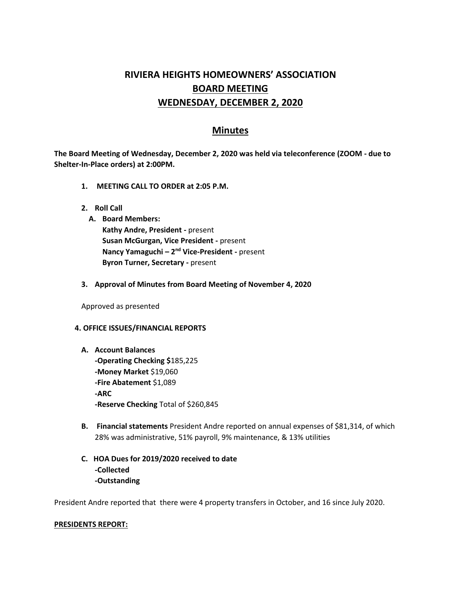# **RIVIERA HEIGHTS HOMEOWNERS' ASSOCIATION BOARD MEETING WEDNESDAY, DECEMBER 2, 2020**

# **Minutes**

**The Board Meeting of Wednesday, December 2, 2020 was held via teleconference (ZOOM - due to Shelter-In-Place orders) at 2:00PM.** 

- **1. MEETING CALL TO ORDER at 2:05 P.M.**
- **2. Roll Call**
	- **A. Board Members: Kathy Andre, President -** present **Susan McGurgan, Vice President -** present **Nancy Yamaguchi – 2<sup>nd</sup> Vice-President -** present **Byron Turner, Secretary -** present
- **3. Approval of Minutes from Board Meeting of November 4, 2020**

Approved as presented

#### **4. OFFICE ISSUES/FINANCIAL REPORTS**

- **A. Account Balances -Operating Checking \$**185,225 **-Money Market** \$19,060 **-Fire Abatement** \$1,089 **-ARC -Reserve Checking** Total of \$260,845
- **B. Financial statements** President Andre reported on annual expenses of \$81,314, of which 28% was administrative, 51% payroll, 9% maintenance, & 13% utilities
- **C. HOA Dues for 2019/2020 received to date -Collected -Outstanding**

President Andre reported that there were 4 property transfers in October, and 16 since July 2020.

#### **PRESIDENTS REPORT:**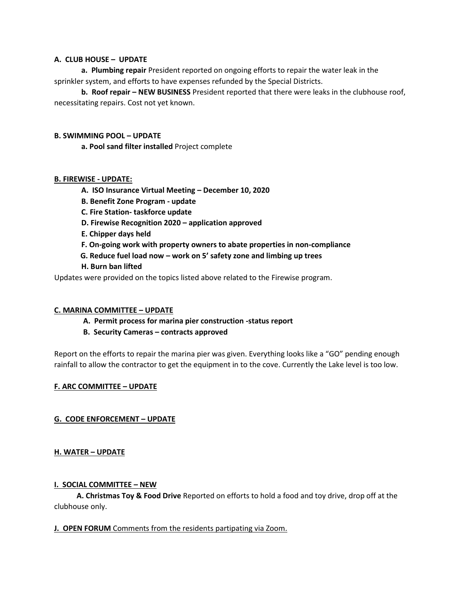# **A. CLUB HOUSE – UPDATE**

**a. Plumbing repair** President reported on ongoing efforts to repair the water leak in the sprinkler system, and efforts to have expenses refunded by the Special Districts.

**b. Roof repair – NEW BUSINESS** President reported that there were leaks in the clubhouse roof, necessitating repairs. Cost not yet known.

## **B. SWIMMING POOL – UPDATE**

**a. Pool sand filter installed** Project complete

## **B. FIREWISE - UPDATE:**

- **A. ISO Insurance Virtual Meeting – December 10, 2020**
- **B. Benefit Zone Program - update**
- **C. Fire Station- taskforce update**
- **D. Firewise Recognition 2020 – application approved**
- **E. Chipper days held**
- **F. On-going work with property owners to abate properties in non-compliance**
- **G. Reduce fuel load now – work on 5' safety zone and limbing up trees**
- **H. Burn ban lifted**

Updates were provided on the topics listed above related to the Firewise program.

# **C. MARINA COMMITTEE – UPDATE**

- **A. Permit process for marina pier construction -status report**
- **B. Security Cameras – contracts approved**

Report on the efforts to repair the marina pier was given. Everything looks like a "GO" pending enough rainfall to allow the contractor to get the equipment in to the cove. Currently the Lake level is too low.

# **F. ARC COMMITTEE – UPDATE**

# **G. CODE ENFORCEMENT – UPDATE**

#### **H. WATER – UPDATE**

#### **I. SOCIAL COMMITTEE – NEW**

 **A. Christmas Toy & Food Drive** Reported on efforts to hold a food and toy drive, drop off at the clubhouse only.

#### **J. OPEN FORUM** Comments from the residents partipating via Zoom.